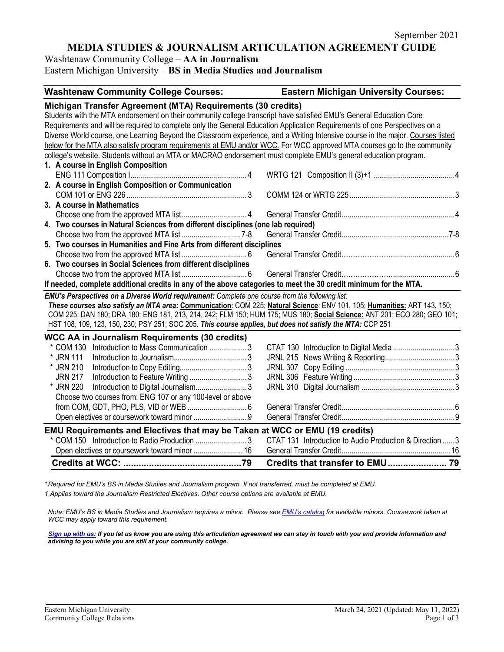# **MEDIA STUDIES & JOURNALISM ARTICULATION AGREEMENT GUIDE**

Washtenaw Community College – **AA in Journalism**

Eastern Michigan University – **BS in Media Studies and Journalism**

#### **Washtenaw Community College Courses: Eastern Michigan University Courses:**

#### **Michigan Transfer Agreement (MTA) Requirements (30 credits)** Students with the MTA endorsement on their community college transcript have satisfied EMU's General Education Core Requirements and will be required to complete only the General Education Application Requirements of one Perspectives on a Diverse World course, one Learning Beyond the Classroom experience, and a Writing Intensive course in the major. Courses listed below for the MTA also satisfy program requirements at EMU and/or WCC. For WCC approved MTA courses go to the community college's website. Students without an MTA or MACRAO endorsement must complete EMU's general education program. **1. A course in English Composition** ENG 111 Composition I........................................................... 4 WRTG 121 Composition II (3)+1 ......................................... 4 **2. A course in English Composition or Communication** COM 101 or ENG 226............................................................. 3 COMM 124 or WRTG 225..................................................... 3 **3. A course in Mathematics** Choose one from the approved MTA list................................. 4 General Transfer Credit......................................................... 4 **4. Two courses in Natural Sciences from different disciplines (one lab required)** Choose two from the approved MTA list ..............................7-8 General Transfer Credit......................................................7-8 **5. Two courses in Humanities and Fine Arts from different disciplines** Choose two from the approved MTA list ................................. 6 General Transfer Credit…………………................................ 6 **6. Two courses in Social Sciences from different disciplines** Choose two from the approved MTA list ................................. 6 General Transfer Credit…………………................................ 6 **If needed, complete additional credits in any of the above categories to meet the 30 credit minimum for the MTA.** *EMU's Perspectives on a Diverse World requirement: Complete one course from the following list: These courses also satisfy an MTA area:* **Communication**: COM 225; **Natural Science**: ENV 101, 105; **Humanities:** ART 143, 150; COM 225; DAN 180; DRA 180; ENG 181, 213, 214, 242; FLM 150; HUM 175; MUS 180; **Social Science:** ANT 201; ECO 280; GEO 101; HST 108, 109, 123, 150, 230; PSY 251; SOC 205. *This course applies, but does not satisfy the MTA:* CCP 251 **WCC AA in Journalism Requirements (30 credits)** \* COM 130 Introduction to Mass Communication ................... 3 CTAT 130 Introduction to Digital Media ............................... 3 \* JRN 111 Introduction to Journalism..................................... 3 JRNL 215 News Writing & Reporting................................... 3 \* JRN 210 Introduction to Copy Editing.................................. 3 JRNL 307 Copy Editing ....................................................... 3 JRN 217 Introduction to Feature Writing ............................. 3 JRNL 306 Feature Writing ................................................... 3 \* JRN 220 Introduction to Digital Journalism.......................... <sup>3</sup> JRNL 310 Digital Journalism ............................................... 3 Choose two courses from: ENG 107 or any 100-level or above from COM, GDT, PHO, PLS, VID or WEB .............................. 6 General Transfer Credit......................................................... 6 Open electives or coursework toward minor ........................... 9 General Transfer Credit......................................................... 9 **EMU Requirements and Electives that may be Taken at WCC or EMU (19 credits)** \* COM 150 Introduction to Radio Production .......................... 3 CTAT 131 Introduction to Audio Production & Direction ...... 3 Open electives or coursework toward minor ......................... 16 General Transfer Credit....................................................... 16 **Credits at WCC: ..............................................79 Credits that transfer to EMU....................... 79**

*\* Required for EMU's BS in Media Studies and Journalism program. If not transferred, must be completed at EMU. 1 Applies toward the Journalism Restricted Electives. Other course options are available at EMU.*

*Note: EMU's BS in Media Studies and Journalism requires a minor. Please se[e EMU's catalog](https://catalog.emich.edu/content.php?catoid=32&navoid=6427) for available minors. Coursework taken at WCC may apply toward this requirement.* 

*[Sign up with us:](https://www.emich.edu/ccr/articulation-agreements/signup.php) If you let us know you are using this articulation agreement we can stay in touch with you and provide information and advising to you while you are still at your community college.*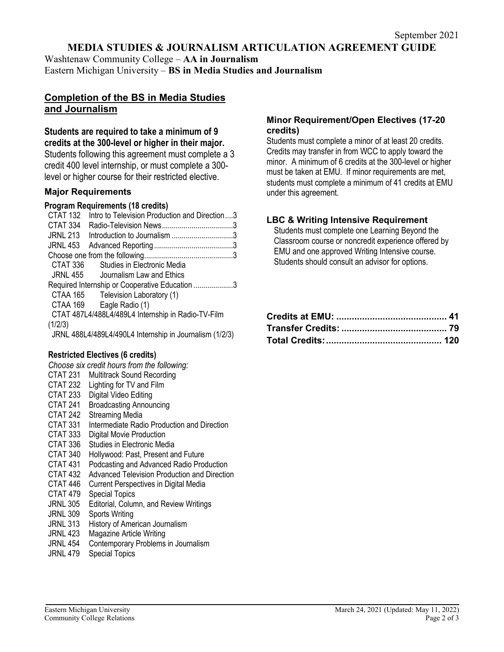# **MEDIA STUDIES & JOURNALISM ARTICULATION AGREEMENT GUIDE**

Washtenaw Community College – **AA in Journalism** Eastern Michigan University – **BS in Media Studies and Journalism**

# **Completion of the BS in Media Studies and Journalism**

**Students are required to take a minimum of 9 credits at the 300-level or higher in their major.** Students following this agreement must complete a 3 credit 400 level internship, or must complete a 300 level or higher course for their restricted elective.

## **Major Requirements**

#### **Program Requirements (18 credits)**

| CTAT 132        | Intro to Television Production and Direction3           |  |
|-----------------|---------------------------------------------------------|--|
| CTAT 334        |                                                         |  |
| <b>JRNL 213</b> | Introduction to Journalism 3                            |  |
| <b>JRNL 453</b> |                                                         |  |
|                 |                                                         |  |
| CTAT 336        | Studies in Electronic Media                             |  |
| JRNL 455        | Journalism Law and Ethics                               |  |
|                 | Required Internship or Cooperative Education 3          |  |
| CTAA 165        | Television Laboratory (1)                               |  |
| CTAA 169        | Eagle Radio (1)                                         |  |
|                 | CTAT 487L4/488L4/489L4 Internship in Radio-TV-Film      |  |
| (1/2/3)         |                                                         |  |
|                 | JRNL 488L4/489L4/490L4 Internship in Journalism (1/2/3) |  |
|                 |                                                         |  |

## **Restricted Electives (6 credits)**

*Choose six credit hours from the following:* CTAT 231 Multitrack Sound Recording CTAT 232 Lighting for TV and Film CTAT 233 Digital Video Editing CTAT 241 Broadcasting Announcing CTAT 242 Streaming Media CTAT 331 Intermediate Radio Production and Direction CTAT 333 Digital Movie Production CTAT 336 Studies in Electronic Media CTAT 340 Hollywood: Past, Present and Future CTAT 431 Podcasting and Advanced Radio Production CTAT 432 Advanced Television Production and Direction CTAT 446 Current Perspectives in Digital Media CTAT 479 Special Topics JRNL 305 Editorial, Column, and Review Writings JRNL 309 Sports Writing JRNL 313 History of American Journalism JRNL 423 Magazine Article Writing

#### JRNL 454 Contemporary Problems in Journalism

JRNL 479 Special Topics

## **Minor Requirement/Open Electives (17-20 credits)**

Students must complete a minor of at least 20 credits. Credits may transfer in from WCC to apply toward the minor. A minimum of 6 credits at the 300-level or higher must be taken at EMU. If minor requirements are met, students must complete a minimum of 41 credits at EMU under this agreement.

# **LBC & Writing Intensive Requirement**

Students must complete one Learning Beyond the Classroom course or noncredit experience offered by EMU and one approved Writing Intensive course. Students should consult an advisor for options.